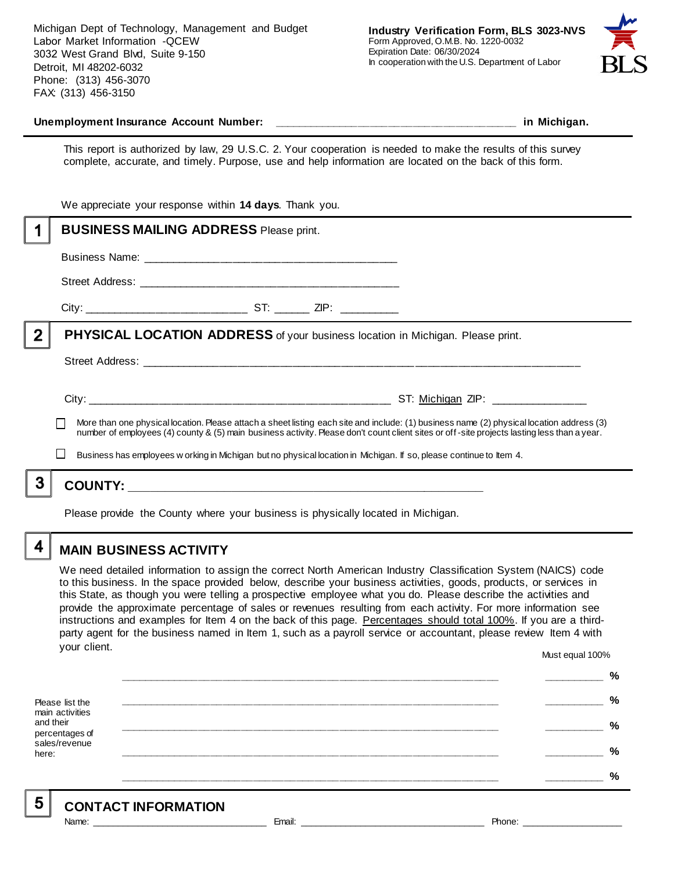Michigan Dept of Technology, Management and Budget Labor Market Information -QCEW 3032 West Grand Blvd, Suite 9-150 Detroit, MI 48202-6032 Phone: (313) 456-3070 FAX: (313) 456-3150



#### **Unemployment Insurance Account Number: \_\_\_\_\_\_\_\_\_\_\_\_\_\_\_\_\_\_\_\_\_\_\_\_\_\_\_\_\_\_\_\_\_\_\_\_\_\_\_\_ in Michigan.**

This report is authorized by law, 29 U.S.C. 2. Your cooperation is needed to make the results of this survey complete, accurate, and timely. Purpose, use and help information are located on the back of this form.

|   | We appreciate your response within 14 days. Thank you.                                                                                                                                                                                                                                   |  |
|---|------------------------------------------------------------------------------------------------------------------------------------------------------------------------------------------------------------------------------------------------------------------------------------------|--|
|   | <b>BUSINESS MAILING ADDRESS Please print.</b>                                                                                                                                                                                                                                            |  |
|   |                                                                                                                                                                                                                                                                                          |  |
|   |                                                                                                                                                                                                                                                                                          |  |
|   |                                                                                                                                                                                                                                                                                          |  |
| 2 | <b>PHYSICAL LOCATION ADDRESS</b> of your business location in Michigan. Please print.                                                                                                                                                                                                    |  |
|   |                                                                                                                                                                                                                                                                                          |  |
|   |                                                                                                                                                                                                                                                                                          |  |
|   | More than one physical location. Please attach a sheet listing each site and include: (1) business name (2) physical location address (3)<br>number of employees (4) county & (5) main business activity. Please don't count client sites or off-site projects lasting less than a year. |  |
|   | Business has employees w orking in Michigan but no physical location in Michigan. If so, please continue to Item 4.                                                                                                                                                                      |  |
|   |                                                                                                                                                                                                                                                                                          |  |
|   |                                                                                                                                                                                                                                                                                          |  |

Please provide the County where your business is physically located in Michigan.

4

### **MAIN BUSINESS ACTIVITY**

We need detailed information to assign the correct North American Industry Classification System (NAICS) code to this business. In the space provided below, describe your business activities, goods, products, or services in this State, as though you were telling a prospective employee what you do. Please describe the activities and provide the approximate percentage of sales or revenues resulting from each activity. For more information see instructions and examples for Item 4 on the back of this page. Percentages should total 100%. If you are a thirdparty agent for the business named in Item 1, such as a payroll service or accountant, please review Item 4 with your client. Must equal 100%

Please list the main activities and their percentages of sales/revenue here: **\_\_\_\_\_\_\_\_\_\_\_\_\_\_\_\_\_\_\_\_\_\_\_\_\_\_\_\_\_\_\_\_\_\_\_\_\_\_\_\_\_\_\_\_\_\_\_\_\_\_\_\_\_\_\_\_\_\_\_\_\_\_ \_\_\_\_\_\_\_\_\_\_ % \_\_\_\_\_\_\_\_\_\_\_\_\_\_\_\_\_\_\_\_\_\_\_\_\_\_\_\_\_\_\_\_\_\_\_\_\_\_\_\_\_\_\_\_\_\_\_\_\_\_\_\_\_\_\_\_\_\_\_\_\_\_ \_\_\_\_\_\_\_\_\_\_ % \_\_\_\_\_\_\_\_\_\_\_\_\_\_\_\_\_\_\_\_\_\_\_\_\_\_\_\_\_\_\_\_\_\_\_\_\_\_\_\_\_\_\_\_\_\_\_\_\_\_\_\_\_\_\_\_\_\_\_\_\_\_ \_\_\_\_\_\_\_\_\_\_ % \_\_\_\_\_\_\_\_\_\_\_\_\_\_\_\_\_\_\_\_\_\_\_\_\_\_\_\_\_\_\_\_\_\_\_\_\_\_\_\_\_\_\_\_\_\_\_\_\_\_\_\_\_\_\_\_\_\_\_\_\_\_ \_\_\_\_\_\_\_\_\_\_ % \_\_\_\_\_\_\_\_\_\_\_\_\_\_\_\_\_\_\_\_\_\_\_\_\_\_\_\_\_\_\_\_\_\_\_\_\_\_\_\_\_\_\_\_\_\_\_\_\_\_\_\_\_\_\_\_\_\_\_\_\_\_ \_\_\_\_\_\_\_\_\_\_ %**

5